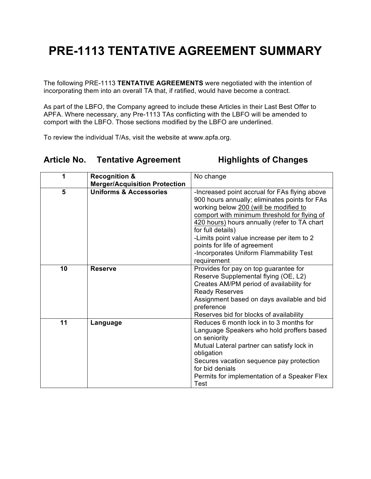## **PRE-1113 TENTATIVE AGREEMENT SUMMARY**

The following PRE-1113 **TENTATIVE AGREEMENTS** were negotiated with the intention of incorporating them into an overall TA that, if ratified, would have become a contract.

As part of the LBFO, the Company agreed to include these Articles in their Last Best Offer to APFA. Where necessary, any Pre-1113 TAs conflicting with the LBFO will be amended to comport with the LBFO. Those sections modified by the LBFO are underlined.

To review the individual T/As, visit the website at www.apfa.org.

## **Article No. Tentative Agreement Highlights of Changes**

| 1  | <b>Recognition &amp;</b>             | No change                                                                                                                                                                                                                                                                                                                                                                                             |
|----|--------------------------------------|-------------------------------------------------------------------------------------------------------------------------------------------------------------------------------------------------------------------------------------------------------------------------------------------------------------------------------------------------------------------------------------------------------|
|    | <b>Merger/Acquisition Protection</b> |                                                                                                                                                                                                                                                                                                                                                                                                       |
| 5  | <b>Uniforms &amp; Accessories</b>    | -Increased point accrual for FAs flying above<br>900 hours annually; eliminates points for FAs<br>working below 200 (will be modified to<br>comport with minimum threshold for flying of<br>420 hours) hours annually (refer to TA chart<br>for full details)<br>-Limits point value increase per item to 2<br>points for life of agreement<br>-Incorporates Uniform Flammability Test<br>requirement |
| 10 | <b>Reserve</b>                       | Provides for pay on top guarantee for<br>Reserve Supplemental flying (OE, L2)<br>Creates AM/PM period of availability for<br><b>Ready Reserves</b><br>Assignment based on days available and bid<br>preference<br>Reserves bid for blocks of availability                                                                                                                                             |
| 11 | Language                             | Reduces 6 month lock in to 3 months for<br>Language Speakers who hold proffers based<br>on seniority<br>Mutual Lateral partner can satisfy lock in<br>obligation<br>Secures vacation sequence pay protection<br>for bid denials<br>Permits for implementation of a Speaker Flex<br>Test                                                                                                               |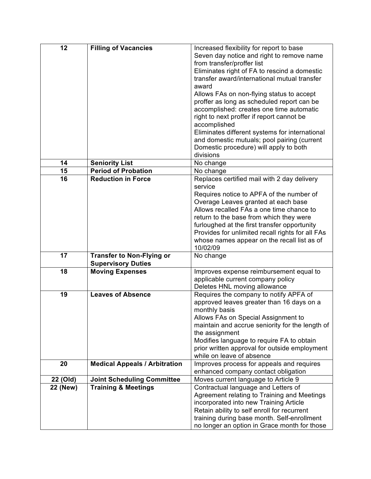| 12              | <b>Filling of Vacancies</b>          | Increased flexibility for report to base                                                      |
|-----------------|--------------------------------------|-----------------------------------------------------------------------------------------------|
|                 |                                      | Seven day notice and right to remove name                                                     |
|                 |                                      | from transfer/proffer list                                                                    |
|                 |                                      | Eliminates right of FA to rescind a domestic                                                  |
|                 |                                      | transfer award/international mutual transfer                                                  |
|                 |                                      | award                                                                                         |
|                 |                                      | Allows FAs on non-flying status to accept                                                     |
|                 |                                      | proffer as long as scheduled report can be                                                    |
|                 |                                      | accomplished: creates one time automatic                                                      |
|                 |                                      | right to next proffer if report cannot be                                                     |
|                 |                                      | accomplished                                                                                  |
|                 |                                      | Eliminates different systems for international<br>and domestic mutuals; pool pairing (current |
|                 |                                      | Domestic procedure) will apply to both                                                        |
|                 |                                      | divisions                                                                                     |
| 14              | <b>Seniority List</b>                | No change                                                                                     |
| 15              | <b>Period of Probation</b>           | No change                                                                                     |
| 16              | <b>Reduction in Force</b>            | Replaces certified mail with 2 day delivery                                                   |
|                 |                                      | service                                                                                       |
|                 |                                      | Requires notice to APFA of the number of                                                      |
|                 |                                      | Overage Leaves granted at each base                                                           |
|                 |                                      | Allows recalled FAs a one time chance to                                                      |
|                 |                                      | return to the base from which they were                                                       |
|                 |                                      | furloughed at the first transfer opportunity                                                  |
|                 |                                      | Provides for unlimited recall rights for all FAs                                              |
|                 |                                      | whose names appear on the recall list as of<br>10/02/09                                       |
| 17              | <b>Transfer to Non-Flying or</b>     | No change                                                                                     |
|                 | <b>Supervisory Duties</b>            |                                                                                               |
| 18              | <b>Moving Expenses</b>               | Improves expense reimbursement equal to                                                       |
|                 |                                      | applicable current company policy                                                             |
|                 |                                      | Deletes HNL moving allowance                                                                  |
| 19              | <b>Leaves of Absence</b>             | Requires the company to notify APFA of                                                        |
|                 |                                      | approved leaves greater than 16 days on a                                                     |
|                 |                                      | monthly basis<br>Allows FAs on Special Assignment to                                          |
|                 |                                      | maintain and accrue seniority for the length of                                               |
|                 |                                      | the assignment                                                                                |
|                 |                                      | Modifies language to require FA to obtain                                                     |
|                 |                                      | prior written approval for outside employment                                                 |
|                 |                                      | while on leave of absence                                                                     |
| 20              | <b>Medical Appeals / Arbitration</b> | Improves process for appeals and requires                                                     |
|                 |                                      | enhanced company contact obligation                                                           |
| 22 (Old)        | <b>Joint Scheduling Committee</b>    | Moves current language to Article 9                                                           |
| <b>22 (New)</b> | <b>Training &amp; Meetings</b>       | Contractual language and Letters of                                                           |
|                 |                                      | Agreement relating to Training and Meetings                                                   |
|                 |                                      | incorporated into new Training Article                                                        |
|                 |                                      | Retain ability to self enroll for recurrent                                                   |
|                 |                                      | training during base month. Self-enrollment                                                   |
|                 |                                      | no longer an option in Grace month for those                                                  |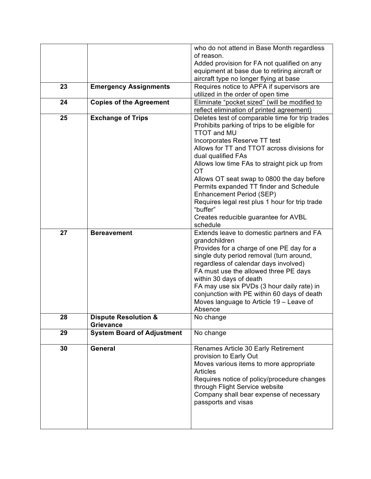|    |                                                     | who do not attend in Base Month regardless                                |
|----|-----------------------------------------------------|---------------------------------------------------------------------------|
|    |                                                     | of reason.                                                                |
|    |                                                     | Added provision for FA not qualified on any                               |
|    |                                                     | equipment at base due to retiring aircraft or                             |
|    |                                                     | aircraft type no longer flying at base                                    |
| 23 | <b>Emergency Assignments</b>                        | Requires notice to APFA if supervisors are                                |
|    |                                                     | utilized in the order of open time                                        |
| 24 | <b>Copies of the Agreement</b>                      | Eliminate "pocket sized" (will be modified to                             |
|    |                                                     | reflect elimination of printed agreement)                                 |
| 25 | <b>Exchange of Trips</b>                            | Deletes test of comparable time for trip trades                           |
|    |                                                     | Prohibits parking of trips to be eligible for                             |
|    |                                                     | <b>TTOT and MU</b>                                                        |
|    |                                                     |                                                                           |
|    |                                                     | Incorporates Reserve TT test                                              |
|    |                                                     | Allows for TT and TTOT across divisions for                               |
|    |                                                     | dual qualified FAs                                                        |
|    |                                                     | Allows low time FAs to straight pick up from                              |
|    |                                                     | OT                                                                        |
|    |                                                     | Allows OT seat swap to 0800 the day before                                |
|    |                                                     | Permits expanded TT finder and Schedule                                   |
|    |                                                     | Enhancement Period (SEP)                                                  |
|    |                                                     | Requires legal rest plus 1 hour for trip trade                            |
|    |                                                     | "buffer"                                                                  |
|    |                                                     | Creates reducible guarantee for AVBL                                      |
|    |                                                     | schedule                                                                  |
| 27 | <b>Bereavement</b>                                  | Extends leave to domestic partners and FA                                 |
|    |                                                     | grandchildren                                                             |
|    |                                                     | Provides for a charge of one PE day for a                                 |
|    |                                                     | single duty period removal (turn around,                                  |
|    |                                                     | regardless of calendar days involved)                                     |
|    |                                                     | FA must use the allowed three PE days                                     |
|    |                                                     | within 30 days of death                                                   |
|    |                                                     | FA may use six PVDs (3 hour daily rate) in                                |
|    |                                                     | conjunction with PE within 60 days of death                               |
|    |                                                     | Moves language to Article 19 - Leave of                                   |
|    |                                                     | Absence                                                                   |
| 28 | <b>Dispute Resolution &amp;</b><br><b>Grievance</b> | No change                                                                 |
|    |                                                     |                                                                           |
| 29 | <b>System Board of Adjustment</b>                   | No change                                                                 |
| 30 | General                                             | Renames Article 30 Early Retirement                                       |
|    |                                                     | provision to Early Out                                                    |
|    |                                                     | Moves various items to more appropriate                                   |
|    |                                                     | <b>Articles</b>                                                           |
|    |                                                     | Requires notice of policy/procedure changes                               |
|    |                                                     |                                                                           |
|    |                                                     | through Flight Service website<br>Company shall bear expense of necessary |
|    |                                                     |                                                                           |
|    |                                                     | passports and visas                                                       |
|    |                                                     |                                                                           |
|    |                                                     |                                                                           |
|    |                                                     |                                                                           |